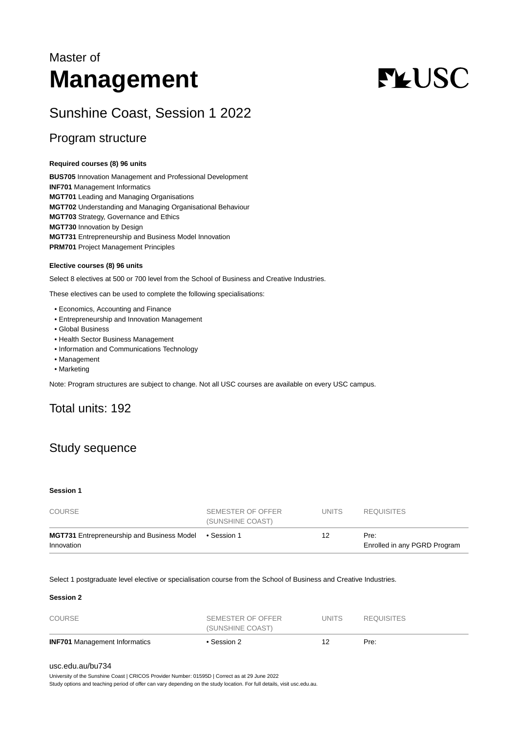# Master of **Management**

# **FLUSC**

# Sunshine Coast, Session 1 2022

## Program structure

#### **Required courses (8) 96 units**

**BUS705** Innovation Management and Professional Development **INF701** Management Informatics **MGT701** Leading and Managing Organisations **MGT702** Understanding and Managing Organisational Behaviour **MGT703** Strategy, Governance and Ethics **MGT730** Innovation by Design **MGT731** Entrepreneurship and Business Model Innovation **PRM701** Project Management Principles

#### **Elective courses (8) 96 units**

Select 8 electives at 500 or 700 level from the School of Business and Creative Industries.

These electives can be used to complete the following specialisations:

- Economics, Accounting and Finance
- Entrepreneurship and Innovation Management
- Global Business
- Health Sector Business Management
- Information and Communications Technology
- Management
- Marketing

Note: Program structures are subject to change. Not all USC courses are available on every USC campus.

# Total units: 192

# Study sequence

#### **Session 1**

| COURSE                                                          | SEMESTER OF OFFER<br>(SUNSHINE COAST) | UNITS | <b>REQUISITES</b>                    |
|-----------------------------------------------------------------|---------------------------------------|-------|--------------------------------------|
| <b>MGT731</b> Entrepreneurship and Business Model<br>Innovation | ● Session 1                           |       | Pre:<br>Enrolled in any PGRD Program |

Select 1 postgraduate level elective or specialisation course from the School of Business and Creative Industries.

#### **Session 2**

| <b>INF701</b> Management Informatics | • Session 2       |        | Pre:              |  |
|--------------------------------------|-------------------|--------|-------------------|--|
|                                      | (SUNSHINE COAST)  |        |                   |  |
| COURSE                               | SEMESTER OF OFFER | UNITS. | <b>REQUISITES</b> |  |

#### [usc.edu.au/bu734](https://www.usc.edu.au/bu734)

University of the Sunshine Coast | CRICOS Provider Number: 01595D | Correct as at 29 June 2022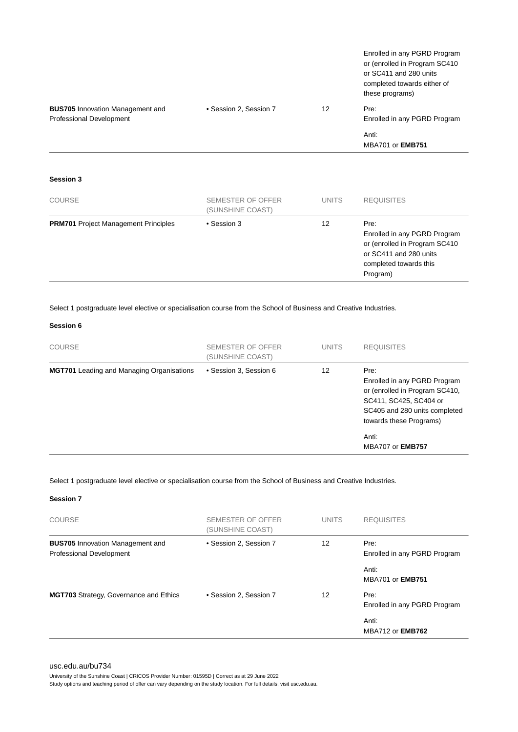|                                                                     |                        |    | Enrolled in any PGRD Program<br>or (enrolled in Program SC410<br>or SC411 and 280 units<br>completed towards either of<br>these programs) |
|---------------------------------------------------------------------|------------------------|----|-------------------------------------------------------------------------------------------------------------------------------------------|
| <b>BUS705</b> Innovation Management and<br>Professional Development | • Session 2, Session 7 | 12 | Pre:<br>Enrolled in any PGRD Program                                                                                                      |
|                                                                     |                        |    | Anti:<br><b>MBA701 or EMB751</b>                                                                                                          |

#### **Session 3**

| <b>COURSE</b>                               | SEMESTER OF OFFER<br>(SUNSHINE COAST) | <b>UNITS</b> | <b>REQUISITES</b>                                                                                                                     |
|---------------------------------------------|---------------------------------------|--------------|---------------------------------------------------------------------------------------------------------------------------------------|
| <b>PRM701</b> Project Management Principles | • Session 3                           | 12           | Pre:<br>Enrolled in any PGRD Program<br>or (enrolled in Program SC410<br>or SC411 and 280 units<br>completed towards this<br>Program) |

Select 1 postgraduate level elective or specialisation course from the School of Business and Creative Industries.

#### **Session 6**

| <b>COURSE</b>                                    | SEMESTER OF OFFER<br>(SUNSHINE COAST) | <b>UNITS</b> | <b>REQUISITES</b>                                                                                                                                                     |
|--------------------------------------------------|---------------------------------------|--------------|-----------------------------------------------------------------------------------------------------------------------------------------------------------------------|
| <b>MGT701</b> Leading and Managing Organisations | • Session 3, Session 6                | 12           | Pre:<br>Enrolled in any PGRD Program<br>or (enrolled in Program SC410,<br>SC411, SC425, SC404 or<br>SC405 and 280 units completed<br>towards these Programs)<br>Anti: |
|                                                  |                                       |              | <b>MBA707 or EMB757</b>                                                                                                                                               |

Select 1 postgraduate level elective or specialisation course from the School of Business and Creative Industries.

#### **Session 7**

| <b>COURSE</b>                                                       | SEMESTER OF OFFER<br>(SUNSHINE COAST) | <b>UNITS</b> | <b>REQUISITES</b>                    |
|---------------------------------------------------------------------|---------------------------------------|--------------|--------------------------------------|
| <b>BUS705</b> Innovation Management and<br>Professional Development | • Session 2, Session 7                | 12           | Pre:<br>Enrolled in any PGRD Program |
|                                                                     |                                       |              | Anti:<br><b>MBA701 or EMB751</b>     |
| MGT703 Strategy, Governance and Ethics                              | • Session 2. Session 7                | 12           | Pre:<br>Enrolled in any PGRD Program |
|                                                                     |                                       |              | Anti:<br><b>MBA712 or EMB762</b>     |

#### [usc.edu.au/bu734](https://www.usc.edu.au/bu734)

University of the Sunshine Coast | CRICOS Provider Number: 01595D | Correct as at 29 June 2022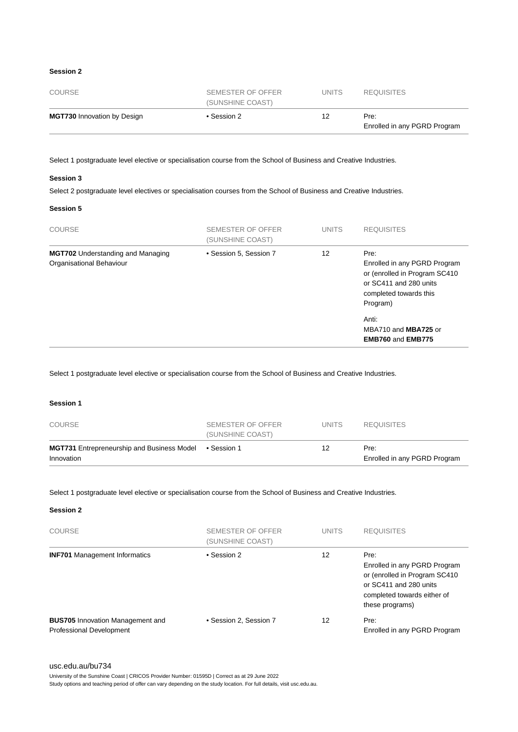#### **Session 2**

| COURSE                             | SEMESTER OF OFFER<br>(SUNSHINE COAST) | UNITS. | <b>REQUISITES</b>                    |
|------------------------------------|---------------------------------------|--------|--------------------------------------|
| <b>MGT730</b> Innovation by Design | • Session 2                           | 12     | Pre:<br>Enrolled in any PGRD Program |

Select 1 postgraduate level elective or specialisation course from the School of Business and Creative Industries.

#### **Session 3**

Select 2 postgraduate level electives or specialisation courses from the School of Business and Creative Industries.

#### **Session 5**

| <b>COURSE</b>                                                        | SEMESTER OF OFFER<br>(SUNSHINE COAST) | <b>UNITS</b> | <b>REQUISITES</b>                                                                                                                                                                                   |
|----------------------------------------------------------------------|---------------------------------------|--------------|-----------------------------------------------------------------------------------------------------------------------------------------------------------------------------------------------------|
| <b>MGT702</b> Understanding and Managing<br>Organisational Behaviour | • Session 5, Session 7                | 12           | Pre:<br>Enrolled in any PGRD Program<br>or (enrolled in Program SC410)<br>or SC411 and 280 units<br>completed towards this<br>Program)<br>Anti:<br>MBA710 and MBA725 or<br><b>EMB760 and EMB775</b> |

Select 1 postgraduate level elective or specialisation course from the School of Business and Creative Industries.

#### **Session 1**

| COURSE                                                                      | SEMESTER OF OFFER<br>(SUNSHINE COAST) | UNITS. | <b>REQUISITES</b>                    |
|-----------------------------------------------------------------------------|---------------------------------------|--------|--------------------------------------|
| <b>MGT731</b> Entrepreneurship and Business Model • Session 1<br>Innovation |                                       | 12     | Pre:<br>Enrolled in any PGRD Program |

Select 1 postgraduate level elective or specialisation course from the School of Business and Creative Industries.

#### **Session 2**

| COURSE                                                                     | <b>SEMESTER OF OFFER</b><br>(SUNSHINE COAST) | <b>UNITS</b> | <b>REQUISITES</b>                                                                                                                                  |
|----------------------------------------------------------------------------|----------------------------------------------|--------------|----------------------------------------------------------------------------------------------------------------------------------------------------|
| <b>INF701</b> Management Informatics                                       | • Session 2                                  | 12           | Pre:<br>Enrolled in any PGRD Program<br>or (enrolled in Program SC410)<br>or SC411 and 280 units<br>completed towards either of<br>these programs) |
| <b>BUS705</b> Innovation Management and<br><b>Professional Development</b> | • Session 2, Session 7                       | 12           | Pre:<br>Enrolled in any PGRD Program                                                                                                               |

[usc.edu.au/bu734](https://www.usc.edu.au/bu734)

University of the Sunshine Coast | CRICOS Provider Number: 01595D | Correct as at 29 June 2022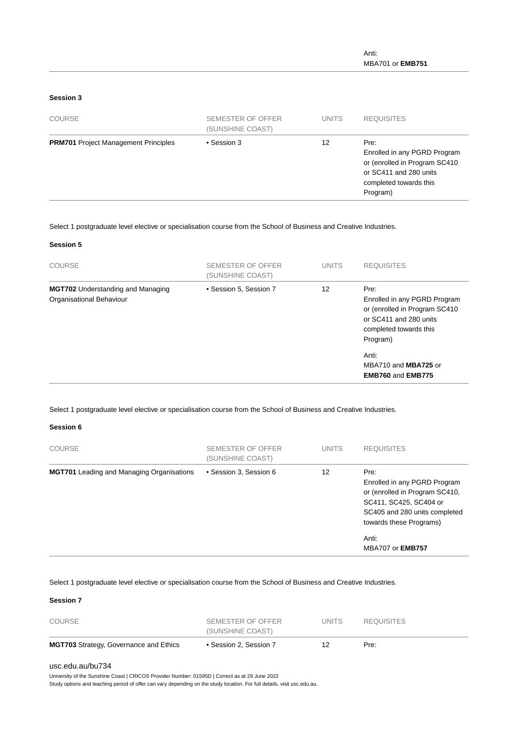#### **Session 3**

| <b>COURSE</b>                               | SEMESTER OF OFFER<br>(SUNSHINE COAST) | <b>UNITS</b> | <b>REQUISITES</b>                                                                                                                     |
|---------------------------------------------|---------------------------------------|--------------|---------------------------------------------------------------------------------------------------------------------------------------|
| <b>PRM701</b> Project Management Principles | • Session 3                           | 12           | Pre:<br>Enrolled in any PGRD Program<br>or (enrolled in Program SC410<br>or SC411 and 280 units<br>completed towards this<br>Program) |

#### Select 1 postgraduate level elective or specialisation course from the School of Business and Creative Industries.

#### **Session 5**

| <b>COURSE</b>                                                        | SEMESTER OF OFFER<br>(SUNSHINE COAST) | <b>UNITS</b> | <b>REQUISITES</b>                                                                                                                                                                                   |
|----------------------------------------------------------------------|---------------------------------------|--------------|-----------------------------------------------------------------------------------------------------------------------------------------------------------------------------------------------------|
| <b>MGT702</b> Understanding and Managing<br>Organisational Behaviour | • Session 5, Session 7                | 12           | Pre:<br>Enrolled in any PGRD Program<br>or (enrolled in Program SC410)<br>or SC411 and 280 units<br>completed towards this<br>Program)<br>Anti:<br>MBA710 and MBA725 or<br><b>EMB760 and EMB775</b> |

#### Select 1 postgraduate level elective or specialisation course from the School of Business and Creative Industries.

#### **Session 6**

| <b>COURSE</b>                                    | SEMESTER OF OFFER<br>(SUNSHINE COAST) | <b>UNITS</b> | <b>REQUISITES</b>                                                                                                                                                     |
|--------------------------------------------------|---------------------------------------|--------------|-----------------------------------------------------------------------------------------------------------------------------------------------------------------------|
| <b>MGT701</b> Leading and Managing Organisations | • Session 3, Session 6                | 12           | Pre:<br>Enrolled in any PGRD Program<br>or (enrolled in Program SC410,<br>SC411, SC425, SC404 or<br>SC405 and 280 units completed<br>towards these Programs)<br>Anti: |
|                                                  |                                       |              | <b>MBA707 or EMB757</b>                                                                                                                                               |

Select 1 postgraduate level elective or specialisation course from the School of Business and Creative Industries.

#### **Session 7**

| <b>COURSE</b>                                 | SEMESTER OF OFFER<br>(SUNSHINE COAST) | UNITS. | <b>REQUISITES</b> |
|-----------------------------------------------|---------------------------------------|--------|-------------------|
| <b>MGT703</b> Strategy, Governance and Ethics | • Session 2, Session 7                | 12.    | Pre:              |

#### [usc.edu.au/bu734](https://www.usc.edu.au/bu734)

University of the Sunshine Coast | CRICOS Provider Number: 01595D | Correct as at 29 June 2022